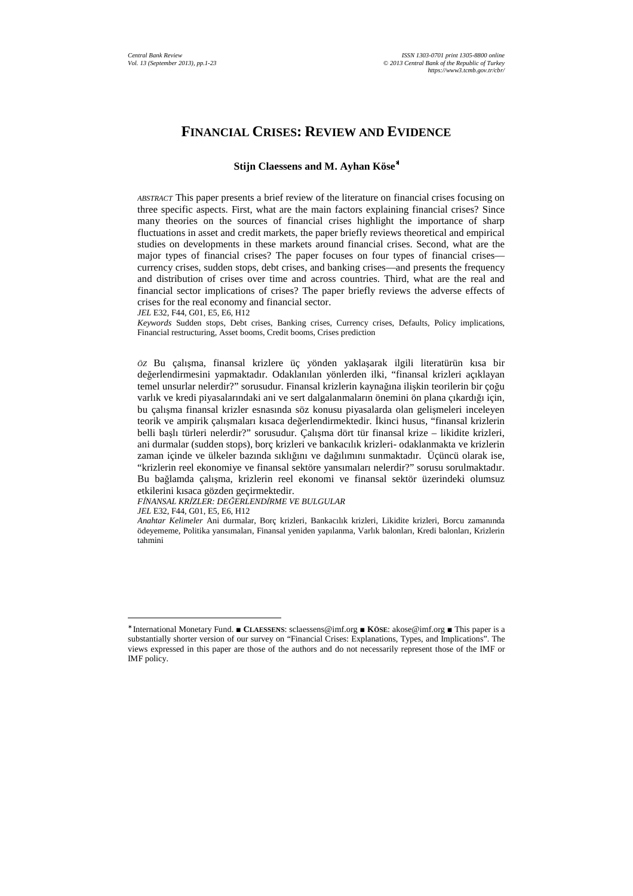# **FINANCIAL CRISES: REVIEW AND EVIDENCE**

#### **Stijn Claessens and M. Ayhan Köse**<sup>∗</sup>

*ABSTRACT* This paper presents a brief review of the literature on financial crises focusing on three specific aspects. First, what are the main factors explaining financial crises? Since many theories on the sources of financial crises highlight the importance of sharp fluctuations in asset and credit markets, the paper briefly reviews theoretical and empirical studies on developments in these markets around financial crises. Second, what are the major types of financial crises? The paper focuses on four types of financial crises currency crises, sudden stops, debt crises, and banking crises—and presents the frequency and distribution of crises over time and across countries. Third, what are the real and financial sector implications of crises? The paper briefly reviews the adverse effects of crises for the real economy and financial sector.

*JEL* E32, F44, G01, E5, E6, H12

*Keywords* Sudden stops, Debt crises, Banking crises, Currency crises, Defaults, Policy implications, Financial restructuring, Asset booms, Credit booms, Crises prediction

*ÖZ* Bu çalışma, finansal krizlere üç yönden yaklaşarak ilgili literatürün kısa bir değerlendirmesini yapmaktadır. Odaklanılan yönlerden ilki, "finansal krizleri açıklayan temel unsurlar nelerdir?" sorusudur. Finansal krizlerin kaynağına ilişkin teorilerin bir çoğu varlık ve kredi piyasalarındaki ani ve sert dalgalanmaların önemini ön plana çıkardığı için, bu çalışma finansal krizler esnasında söz konusu piyasalarda olan gelişmeleri inceleyen teorik ve ampirik çalışmaları kısaca değerlendirmektedir. İkinci husus, "finansal krizlerin belli başlı türleri nelerdir?" sorusudur. Çalışma dört tür finansal krize – likidite krizleri, ani durmalar (sudden stops), borç krizleri ve bankacılık krizleri- odaklanmakta ve krizlerin zaman içinde ve ülkeler bazında sıklığını ve dağılımını sunmaktadır. Üçüncü olarak ise, "krizlerin reel ekonomiye ve finansal sektöre yansımaları nelerdir?" sorusu sorulmaktadır. Bu bağlamda çalışma, krizlerin reel ekonomi ve finansal sektör üzerindeki olumsuz etkilerini kısaca gözden geçirmektedir.

*FİNANSAL KRİZLER: DEĞERLENDİRME VE BULGULAR*

*JEL* E32, F44, G01, E5, E6, H12

 $\overline{a}$ 

*Anahtar Kelimeler* Ani durmalar, Borç krizleri, Bankacılık krizleri, Likidite krizleri, Borcu zamanında ödeyememe, Politika yansımaları, Finansal yeniden yapılanma, Varlık balonları, Kredi balonları, Krizlerin tahmini

<sup>∗</sup> International Monetary Fund. ■ **CLAESSENS**: sclaessens@imf.org ■ **KÖSE**: akose@imf.org ■ This paper is a substantially shorter version of our survey on "Financial Crises: Explanations, Types, and Implications". The views expressed in this paper are those of the authors and do not necessarily represent those of the IMF or IMF policy.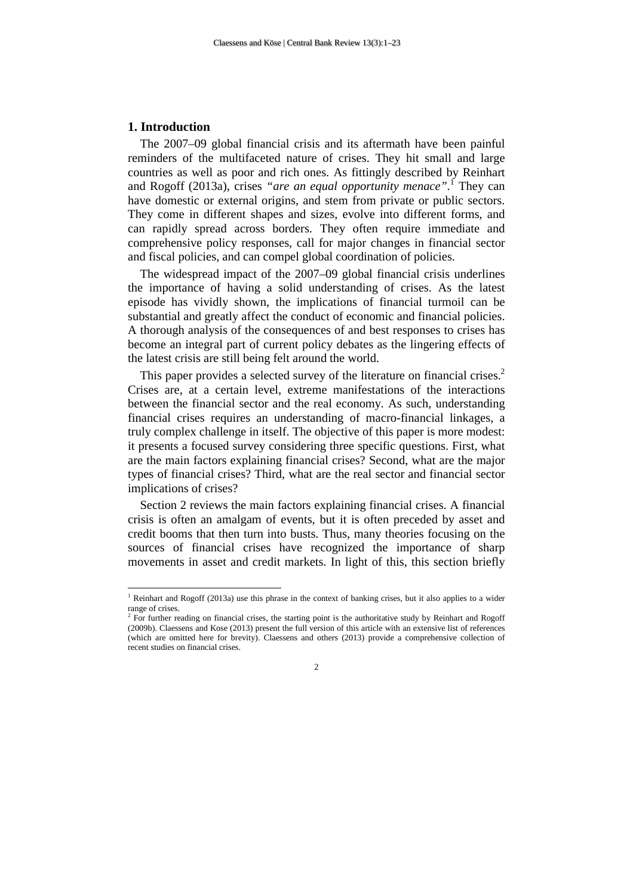#### **1. Introduction**

 $\overline{a}$ 

The 2007–09 global financial crisis and its aftermath have been painful reminders of the multifaceted nature of crises. They hit small and large countries as well as poor and rich ones. As fittingly described by Reinhart and Rogoff (2013a), crises *"are an equal opportunity menace".*<sup>1</sup> They can have domestic or external origins, and stem from private or public sectors. They come in different shapes and sizes, evolve into different forms, and can rapidly spread across borders. They often require immediate and comprehensive policy responses, call for major changes in financial sector and fiscal policies, and can compel global coordination of policies.

The widespread impact of the 2007–09 global financial crisis underlines the importance of having a solid understanding of crises. As the latest episode has vividly shown, the implications of financial turmoil can be substantial and greatly affect the conduct of economic and financial policies. A thorough analysis of the consequences of and best responses to crises has become an integral part of current policy debates as the lingering effects of the latest crisis are still being felt around the world.

This paper provides a selected survey of the literature on financial crises.<sup>2</sup> Crises are, at a certain level, extreme manifestations of the interactions between the financial sector and the real economy. As such, understanding financial crises requires an understanding of macro-financial linkages, a truly complex challenge in itself. The objective of this paper is more modest: it presents a focused survey considering three specific questions. First, what are the main factors explaining financial crises? Second, what are the major types of financial crises? Third, what are the real sector and financial sector implications of crises?

Section 2 reviews the main factors explaining financial crises. A financial crisis is often an amalgam of events, but it is often preceded by asset and credit booms that then turn into busts. Thus, many theories focusing on the sources of financial crises have recognized the importance of sharp movements in asset and credit markets. In light of this, this section briefly

 $\mathcal{D}$ 

<sup>&</sup>lt;sup>1</sup> Reinhart and Rogoff (2013a) use this phrase in the context of banking crises, but it also applies to a wider range of crises.

<sup>&</sup>lt;sup>2</sup> For further reading on financial crises, the starting point is the authoritative study by Reinhart and Rogoff (2009b). Claessens and Kose (2013) present the full version of this article with an extensive list of references (which are omitted here for brevity). Claessens and others (2013) provide a comprehensive collection of recent studies on financial crises.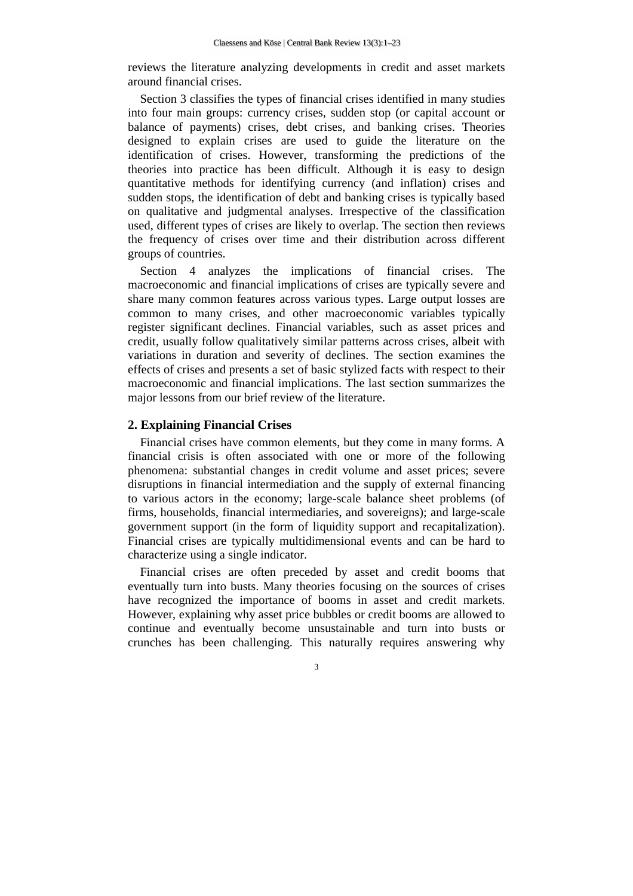reviews the literature analyzing developments in credit and asset markets around financial crises.

Section 3 classifies the types of financial crises identified in many studies into four main groups: currency crises, sudden stop (or capital account or balance of payments) crises, debt crises, and banking crises. Theories designed to explain crises are used to guide the literature on the identification of crises. However, transforming the predictions of the theories into practice has been difficult. Although it is easy to design quantitative methods for identifying currency (and inflation) crises and sudden stops, the identification of debt and banking crises is typically based on qualitative and judgmental analyses. Irrespective of the classification used, different types of crises are likely to overlap. The section then reviews the frequency of crises over time and their distribution across different groups of countries.

Section 4 analyzes the implications of financial crises. The macroeconomic and financial implications of crises are typically severe and share many common features across various types. Large output losses are common to many crises, and other macroeconomic variables typically register significant declines. Financial variables, such as asset prices and credit, usually follow qualitatively similar patterns across crises, albeit with variations in duration and severity of declines. The section examines the effects of crises and presents a set of basic stylized facts with respect to their macroeconomic and financial implications. The last section summarizes the major lessons from our brief review of the literature.

## **2. Explaining Financial Crises**

Financial crises have common elements, but they come in many forms. A financial crisis is often associated with one or more of the following phenomena: substantial changes in credit volume and asset prices; severe disruptions in financial intermediation and the supply of external financing to various actors in the economy; large-scale balance sheet problems (of firms, households, financial intermediaries, and sovereigns); and large-scale government support (in the form of liquidity support and recapitalization). Financial crises are typically multidimensional events and can be hard to characterize using a single indicator.

Financial crises are often preceded by asset and credit booms that eventually turn into busts. Many theories focusing on the sources of crises have recognized the importance of booms in asset and credit markets. However, explaining why asset price bubbles or credit booms are allowed to continue and eventually become unsustainable and turn into busts or crunches has been challenging. This naturally requires answering why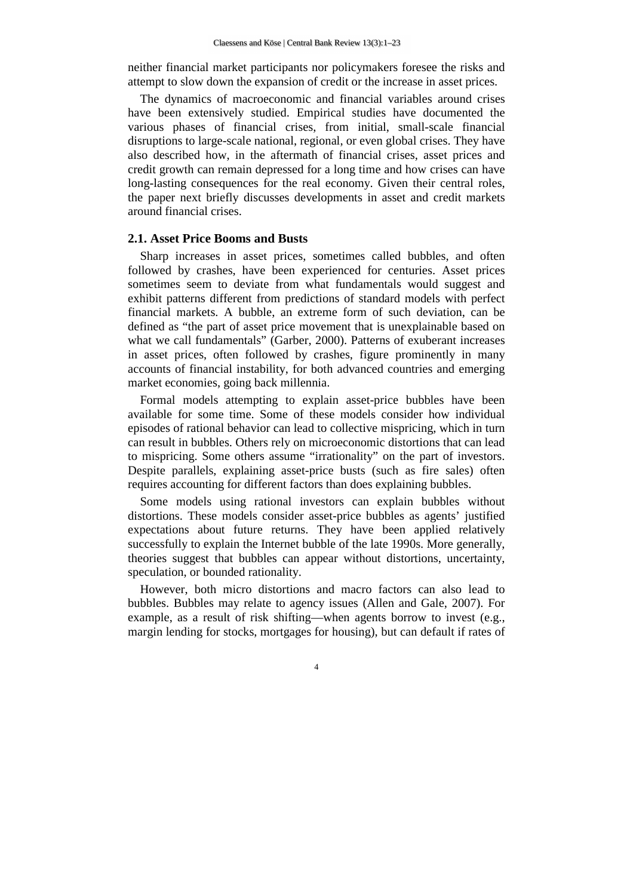neither financial market participants nor policymakers foresee the risks and attempt to slow down the expansion of credit or the increase in asset prices.

The dynamics of macroeconomic and financial variables around crises have been extensively studied. Empirical studies have documented the various phases of financial crises, from initial, small-scale financial disruptions to large-scale national, regional, or even global crises. They have also described how, in the aftermath of financial crises, asset prices and credit growth can remain depressed for a long time and how crises can have long-lasting consequences for the real economy. Given their central roles, the paper next briefly discusses developments in asset and credit markets around financial crises.

## **2.1. Asset Price Booms and Busts**

Sharp increases in asset prices, sometimes called bubbles, and often followed by crashes, have been experienced for centuries. Asset prices sometimes seem to deviate from what fundamentals would suggest and exhibit patterns different from predictions of standard models with perfect financial markets. A bubble, an extreme form of such deviation, can be defined as "the part of asset price movement that is unexplainable based on what we call fundamentals" (Garber, 2000). Patterns of exuberant increases in asset prices, often followed by crashes, figure prominently in many accounts of financial instability, for both advanced countries and emerging market economies, going back millennia.

Formal models attempting to explain asset-price bubbles have been available for some time. Some of these models consider how individual episodes of rational behavior can lead to collective mispricing, which in turn can result in bubbles. Others rely on microeconomic distortions that can lead to mispricing. Some others assume "irrationality" on the part of investors. Despite parallels, explaining asset-price busts (such as fire sales) often requires accounting for different factors than does explaining bubbles.

Some models using rational investors can explain bubbles without distortions. These models consider asset-price bubbles as agents' justified expectations about future returns. They have been applied relatively successfully to explain the Internet bubble of the late 1990s. More generally, theories suggest that bubbles can appear without distortions, uncertainty, speculation, or bounded rationality.

However, both micro distortions and macro factors can also lead to bubbles. Bubbles may relate to agency issues (Allen and Gale, 2007). For example, as a result of risk shifting—when agents borrow to invest (e.g., margin lending for stocks, mortgages for housing), but can default if rates of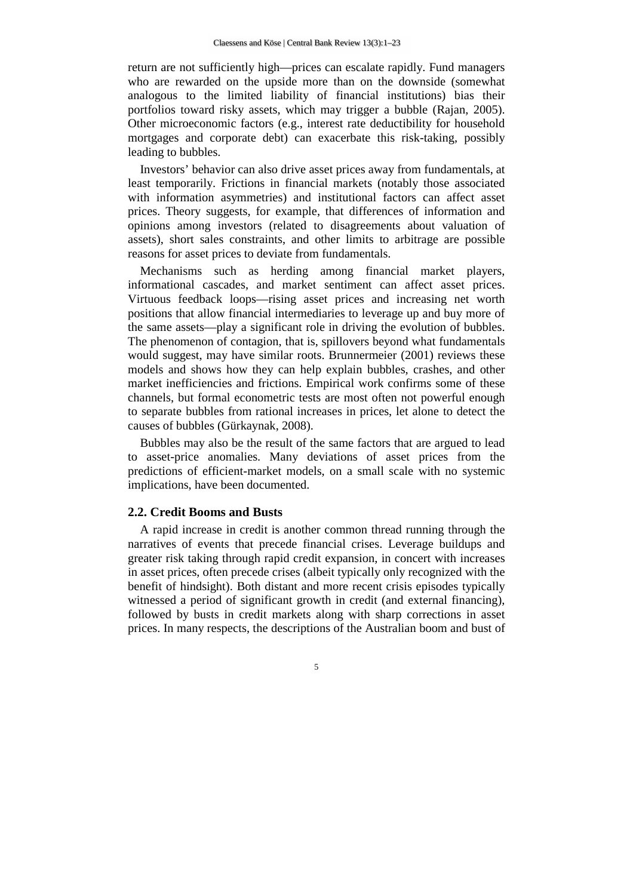return are not sufficiently high—prices can escalate rapidly. Fund managers who are rewarded on the upside more than on the downside (somewhat analogous to the limited liability of financial institutions) bias their portfolios toward risky assets, which may trigger a bubble (Rajan, 2005). Other microeconomic factors (e.g., interest rate deductibility for household mortgages and corporate debt) can exacerbate this risk-taking, possibly leading to bubbles.

Investors' behavior can also drive asset prices away from fundamentals, at least temporarily. Frictions in financial markets (notably those associated with information asymmetries) and institutional factors can affect asset prices. Theory suggests, for example, that differences of information and opinions among investors (related to disagreements about valuation of assets), short sales constraints, and other limits to arbitrage are possible reasons for asset prices to deviate from fundamentals.

Mechanisms such as herding among financial market players, informational cascades, and market sentiment can affect asset prices. Virtuous feedback loops—rising asset prices and increasing net worth positions that allow financial intermediaries to leverage up and buy more of the same assets—play a significant role in driving the evolution of bubbles. The phenomenon of contagion, that is, spillovers beyond what fundamentals would suggest, may have similar roots. Brunnermeier (2001) reviews these models and shows how they can help explain bubbles, crashes, and other market inefficiencies and frictions. Empirical work confirms some of these channels, but formal econometric tests are most often not powerful enough to separate bubbles from rational increases in prices, let alone to detect the causes of bubbles (Gürkaynak, 2008).

Bubbles may also be the result of the same factors that are argued to lead to asset-price anomalies. Many deviations of asset prices from the predictions of efficient-market models, on a small scale with no systemic implications, have been documented.

#### **2.2. Credit Booms and Busts**

A rapid increase in credit is another common thread running through the narratives of events that precede financial crises. Leverage buildups and greater risk taking through rapid credit expansion, in concert with increases in asset prices, often precede crises (albeit typically only recognized with the benefit of hindsight). Both distant and more recent crisis episodes typically witnessed a period of significant growth in credit (and external financing), followed by busts in credit markets along with sharp corrections in asset prices. In many respects, the descriptions of the Australian boom and bust of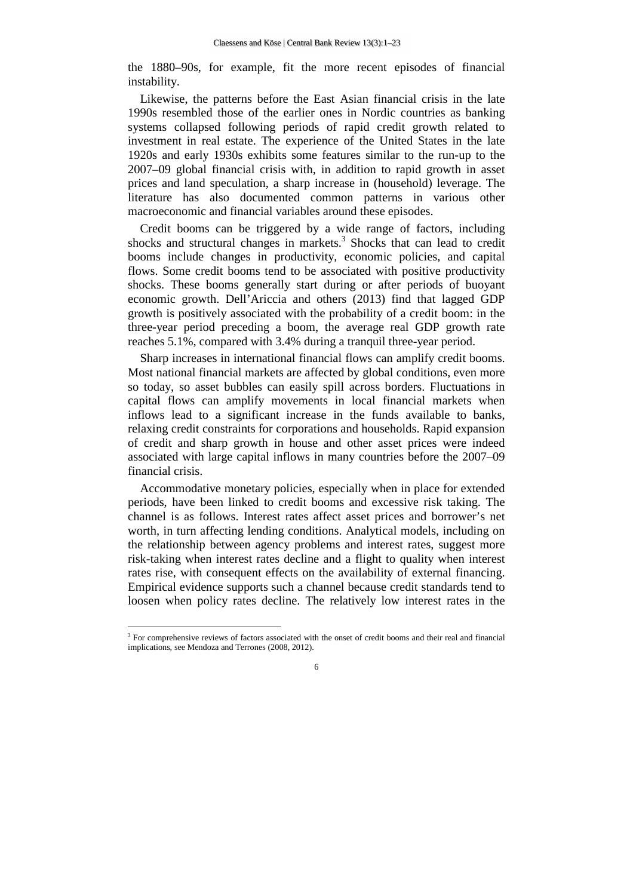the 1880–90s, for example, fit the more recent episodes of financial instability.

Likewise, the patterns before the East Asian financial crisis in the late 1990s resembled those of the earlier ones in Nordic countries as banking systems collapsed following periods of rapid credit growth related to investment in real estate. The experience of the United States in the late 1920s and early 1930s exhibits some features similar to the run-up to the 2007–09 global financial crisis with, in addition to rapid growth in asset prices and land speculation, a sharp increase in (household) leverage. The literature has also documented common patterns in various other macroeconomic and financial variables around these episodes.

Credit booms can be triggered by a wide range of factors, including shocks and structural changes in markets.<sup>3</sup> Shocks that can lead to credit booms include changes in productivity, economic policies, and capital flows. Some credit booms tend to be associated with positive productivity shocks. These booms generally start during or after periods of buoyant economic growth. Dell'Ariccia and others (2013) find that lagged GDP growth is positively associated with the probability of a credit boom: in the three-year period preceding a boom, the average real GDP growth rate reaches 5.1%, compared with 3.4% during a tranquil three-year period.

Sharp increases in international financial flows can amplify credit booms. Most national financial markets are affected by global conditions, even more so today, so asset bubbles can easily spill across borders. Fluctuations in capital flows can amplify movements in local financial markets when inflows lead to a significant increase in the funds available to banks, relaxing credit constraints for corporations and households. Rapid expansion of credit and sharp growth in house and other asset prices were indeed associated with large capital inflows in many countries before the 2007–09 financial crisis.

Accommodative monetary policies, especially when in place for extended periods, have been linked to credit booms and excessive risk taking. The channel is as follows. Interest rates affect asset prices and borrower's net worth, in turn affecting lending conditions. Analytical models, including on the relationship between agency problems and interest rates, suggest more risk-taking when interest rates decline and a flight to quality when interest rates rise, with consequent effects on the availability of external financing. Empirical evidence supports such a channel because credit standards tend to loosen when policy rates decline. The relatively low interest rates in the

l

<sup>&</sup>lt;sup>3</sup> For comprehensive reviews of factors associated with the onset of credit booms and their real and financial implications, see Mendoza and Terrones (2008, 2012).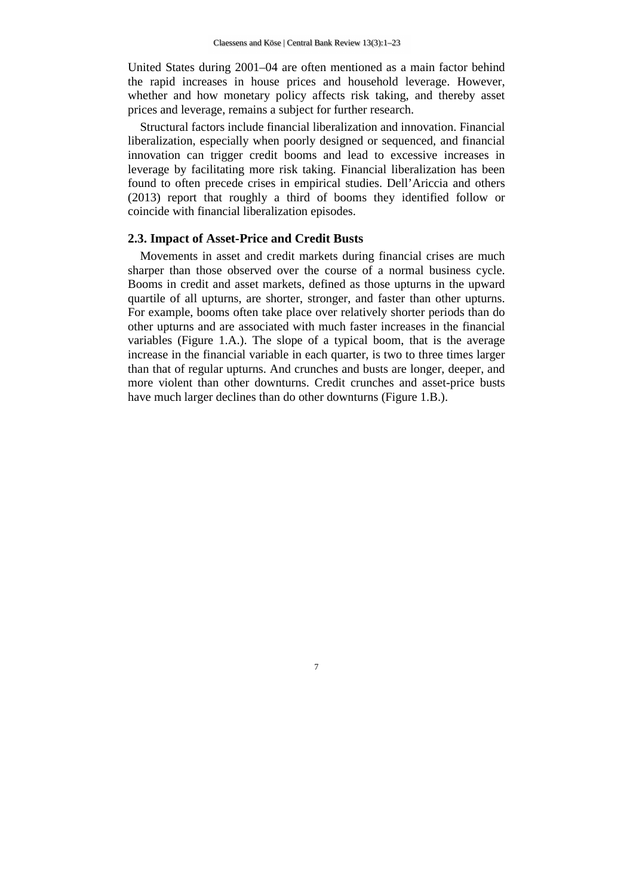United States during 2001–04 are often mentioned as a main factor behind the rapid increases in house prices and household leverage. However, whether and how monetary policy affects risk taking, and thereby asset prices and leverage, remains a subject for further research.

Structural factors include financial liberalization and innovation. Financial liberalization, especially when poorly designed or sequenced, and financial innovation can trigger credit booms and lead to excessive increases in leverage by facilitating more risk taking. Financial liberalization has been found to often precede crises in empirical studies. Dell'Ariccia and others (2013) report that roughly a third of booms they identified follow or coincide with financial liberalization episodes.

## **2.3. Impact of Asset-Price and Credit Busts**

Movements in asset and credit markets during financial crises are much sharper than those observed over the course of a normal business cycle. Booms in credit and asset markets, defined as those upturns in the upward quartile of all upturns, are shorter, stronger, and faster than other upturns. For example, booms often take place over relatively shorter periods than do other upturns and are associated with much faster increases in the financial variables (Figure 1.A.). The slope of a typical boom, that is the average increase in the financial variable in each quarter, is two to three times larger than that of regular upturns. And crunches and busts are longer, deeper, and more violent than other downturns. Credit crunches and asset-price busts have much larger declines than do other downturns (Figure 1.B.).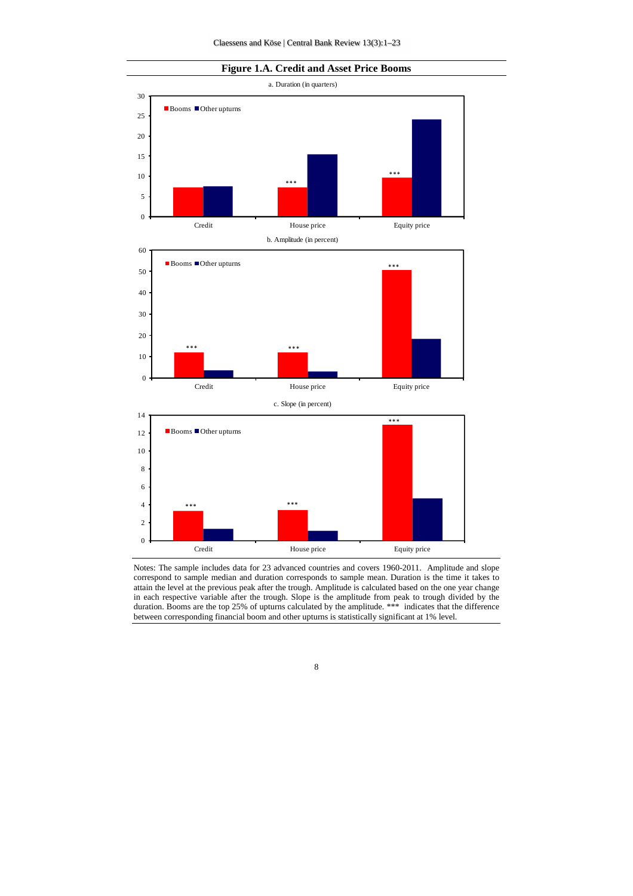



Notes: The sample includes data for 23 advanced countries and covers 1960-2011. Amplitude and slope correspond to sample median and duration corresponds to sample mean. Duration is the time it takes to attain the level at the previous peak after the trough. Amplitude is calculated based on the one year change in each respective variable after the trough. Slope is the amplitude from peak to trough divided by the duration. Booms are the top 25% of upturns calculated by the amplitude. \*\*\* indicates that the difference between corresponding financial boom and other upturns is statistically significant at 1% level.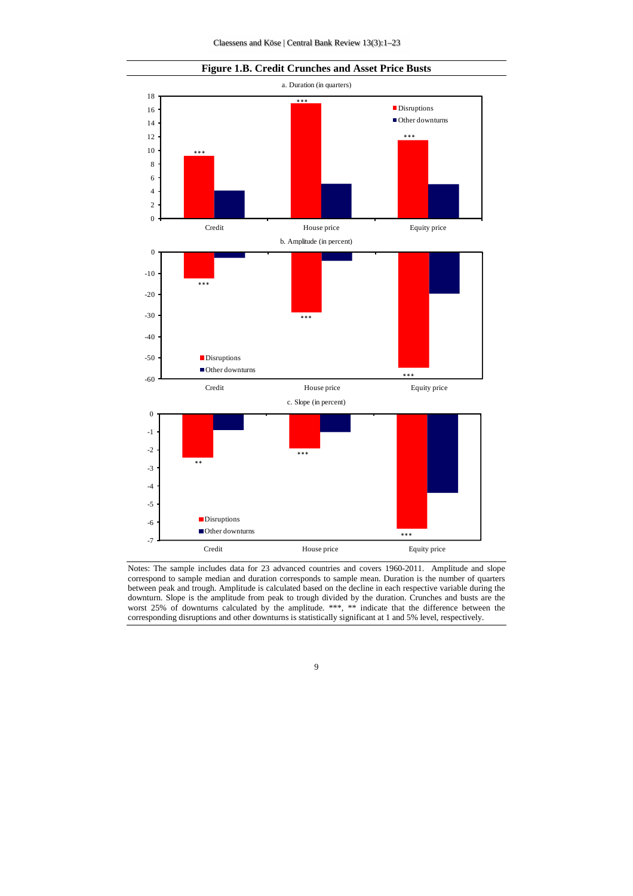



Notes: The sample includes data for 23 advanced countries and covers 1960-2011. Amplitude and slope correspond to sample median and duration corresponds to sample mean. Duration is the number of quarters between peak and trough. Amplitude is calculated based on the decline in each respective variable during the downturn. Slope is the amplitude from peak to trough divided by the duration. Crunches and busts are the worst 25% of downturns calculated by the amplitude. \*\*\*, \*\* indicate that the difference between the corresponding disruptions and other downturns is statistically significant at 1 and 5% level, respectively.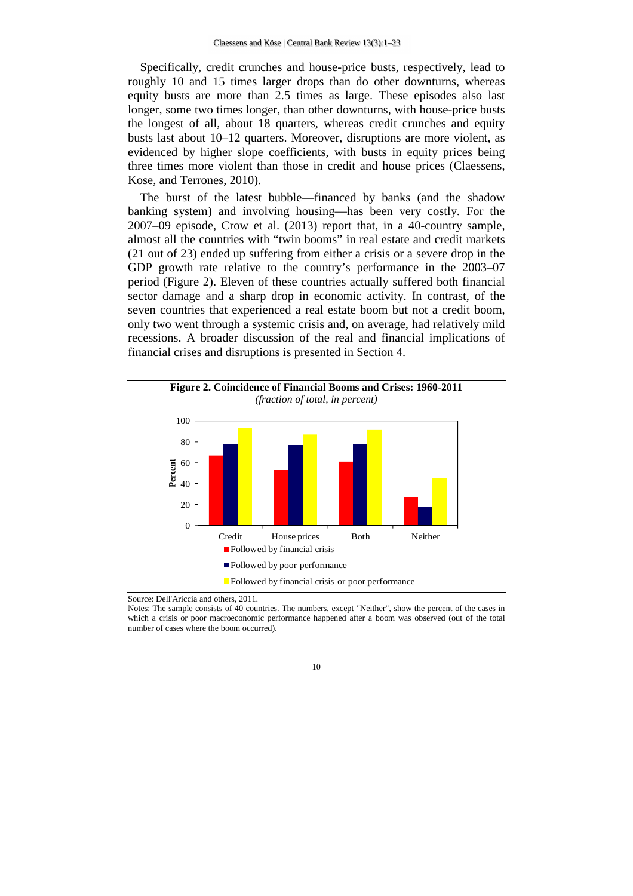Specifically, credit crunches and house-price busts, respectively, lead to roughly 10 and 15 times larger drops than do other downturns, whereas equity busts are more than 2.5 times as large. These episodes also last longer, some two times longer, than other downturns, with house-price busts the longest of all, about 18 quarters, whereas credit crunches and equity busts last about 10–12 quarters. Moreover, disruptions are more violent, as evidenced by higher slope coefficients, with busts in equity prices being three times more violent than those in credit and house prices (Claessens, Kose, and Terrones, 2010).

The burst of the latest bubble—financed by banks (and the shadow banking system) and involving housing—has been very costly. For the 2007–09 episode, Crow et al. (2013) report that, in a 40-country sample, almost all the countries with "twin booms" in real estate and credit markets (21 out of 23) ended up suffering from either a crisis or a severe drop in the GDP growth rate relative to the country's performance in the 2003–07 period (Figure 2). Eleven of these countries actually suffered both financial sector damage and a sharp drop in economic activity. In contrast, of the seven countries that experienced a real estate boom but not a credit boom, only two went through a systemic crisis and, on average, had relatively mild recessions. A broader discussion of the real and financial implications of financial crises and disruptions is presented in Section 4.



Source: Dell'Ariccia and others, 2011.

Notes: The sample consists of 40 countries. The numbers, except "Neither", show the percent of the cases in which a crisis or poor macroeconomic performance happened after a boom was observed (out of the total number of cases where the boom occurred).

<sup>10</sup>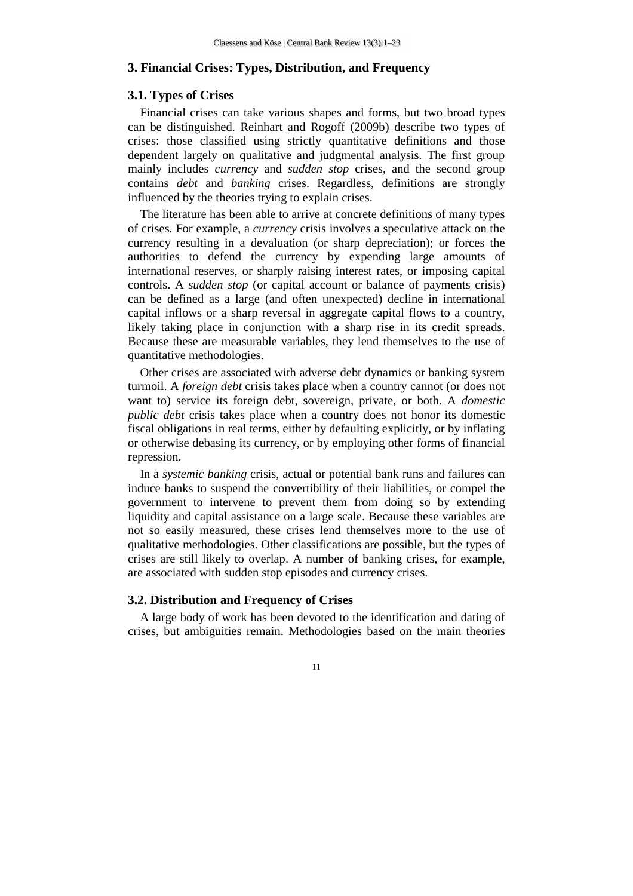## **3. Financial Crises: Types, Distribution, and Frequency**

#### **3.1. Types of Crises**

Financial crises can take various shapes and forms, but two broad types can be distinguished. Reinhart and Rogoff (2009b) describe two types of crises: those classified using strictly quantitative definitions and those dependent largely on qualitative and judgmental analysis. The first group mainly includes *currency* and *sudden stop* crises, and the second group contains *debt* and *banking* crises. Regardless, definitions are strongly influenced by the theories trying to explain crises.

The literature has been able to arrive at concrete definitions of many types of crises. For example, a *currency* crisis involves a speculative attack on the currency resulting in a devaluation (or sharp depreciation); or forces the authorities to defend the currency by expending large amounts of international reserves, or sharply raising interest rates, or imposing capital controls. A *sudden stop* (or capital account or balance of payments crisis) can be defined as a large (and often unexpected) decline in international capital inflows or a sharp reversal in aggregate capital flows to a country, likely taking place in conjunction with a sharp rise in its credit spreads. Because these are measurable variables, they lend themselves to the use of quantitative methodologies.

Other crises are associated with adverse debt dynamics or banking system turmoil. A *foreign debt* crisis takes place when a country cannot (or does not want to) service its foreign debt, sovereign, private, or both. A *domestic public debt* crisis takes place when a country does not honor its domestic fiscal obligations in real terms, either by defaulting explicitly, or by inflating or otherwise debasing its currency, or by employing other forms of financial repression.

In a *systemic banking* crisis, actual or potential bank runs and failures can induce banks to suspend the convertibility of their liabilities, or compel the government to intervene to prevent them from doing so by extending liquidity and capital assistance on a large scale. Because these variables are not so easily measured, these crises lend themselves more to the use of qualitative methodologies. Other classifications are possible, but the types of crises are still likely to overlap. A number of banking crises, for example, are associated with sudden stop episodes and currency crises.

## **3.2. Distribution and Frequency of Crises**

A large body of work has been devoted to the identification and dating of crises, but ambiguities remain. Methodologies based on the main theories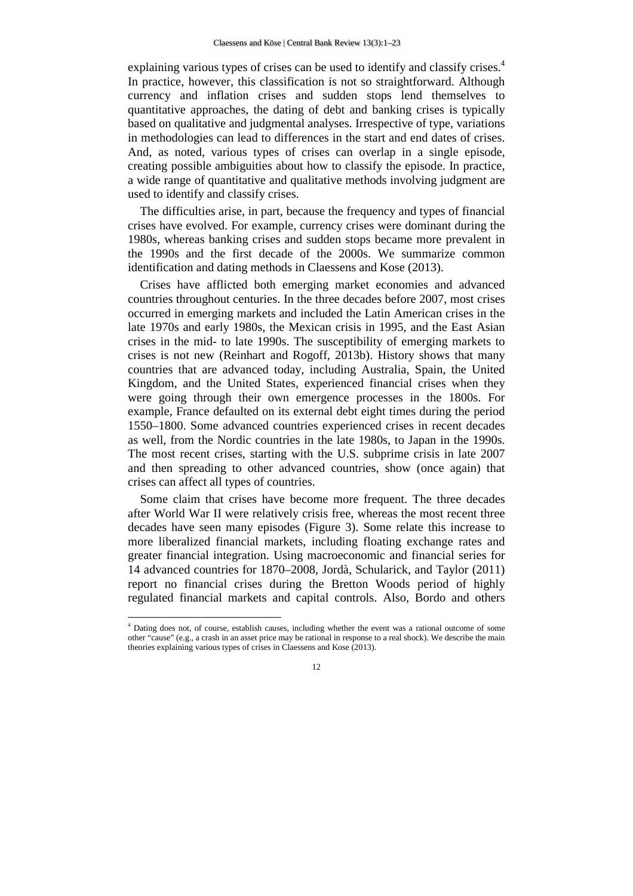explaining various types of crises can be used to identify and classify crises.<sup>4</sup> In practice, however, this classification is not so straightforward. Although currency and inflation crises and sudden stops lend themselves to quantitative approaches, the dating of debt and banking crises is typically based on qualitative and judgmental analyses. Irrespective of type, variations in methodologies can lead to differences in the start and end dates of crises. And, as noted, various types of crises can overlap in a single episode, creating possible ambiguities about how to classify the episode. In practice, a wide range of quantitative and qualitative methods involving judgment are used to identify and classify crises.

The difficulties arise, in part, because the frequency and types of financial crises have evolved. For example, currency crises were dominant during the 1980s, whereas banking crises and sudden stops became more prevalent in the 1990s and the first decade of the 2000s. We summarize common identification and dating methods in Claessens and Kose (2013).

Crises have afflicted both emerging market economies and advanced countries throughout centuries. In the three decades before 2007, most crises occurred in emerging markets and included the Latin American crises in the late 1970s and early 1980s, the Mexican crisis in 1995, and the East Asian crises in the mid- to late 1990s. The susceptibility of emerging markets to crises is not new (Reinhart and Rogoff, 2013b). History shows that many countries that are advanced today, including Australia, Spain, the United Kingdom, and the United States, experienced financial crises when they were going through their own emergence processes in the 1800s. For example, France defaulted on its external debt eight times during the period 1550–1800. Some advanced countries experienced crises in recent decades as well, from the Nordic countries in the late 1980s, to Japan in the 1990s. The most recent crises, starting with the U.S. subprime crisis in late 2007 and then spreading to other advanced countries, show (once again) that crises can affect all types of countries.

Some claim that crises have become more frequent. The three decades after World War II were relatively crisis free, whereas the most recent three decades have seen many episodes (Figure 3). Some relate this increase to more liberalized financial markets, including floating exchange rates and greater financial integration. Using macroeconomic and financial series for 14 advanced countries for 1870–2008, Jordà, Schularick, and Taylor (2011) report no financial crises during the Bretton Woods period of highly regulated financial markets and capital controls. Also, Bordo and others

 $\overline{a}$ 

<sup>4</sup> Dating does not, of course, establish causes, including whether the event was a rational outcome of some other "cause" (e.g., a crash in an asset price may be rational in response to a real shock). We describe the main theories explaining various types of crises in Claessens and Kose (2013).

<sup>12</sup>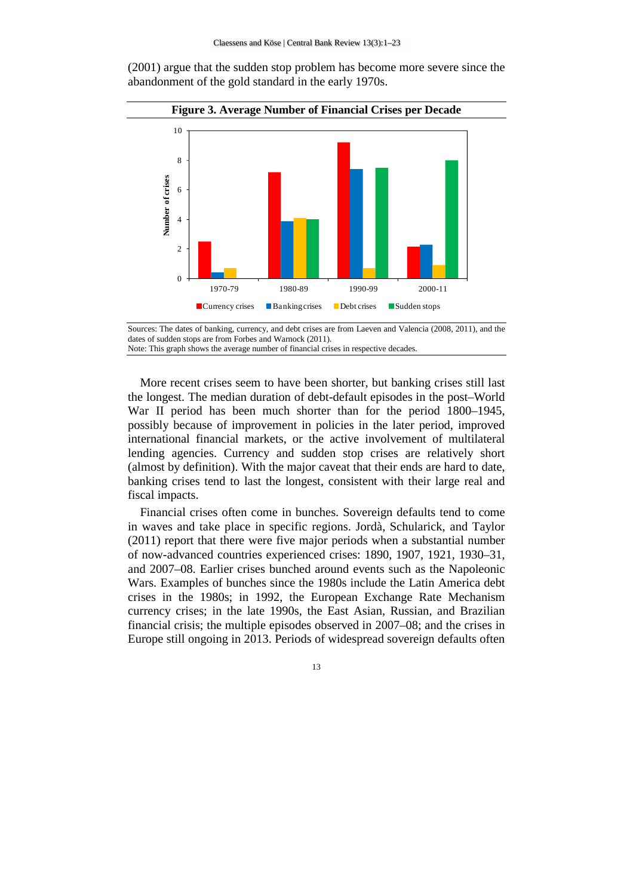(2001) argue that the sudden stop problem has become more severe since the abandonment of the gold standard in the early 1970s.



Sources: The dates of banking, currency, and debt crises are from Laeven and Valencia (2008, 2011), and the dates of sudden stops are from Forbes and Warnock (2011).

Note: This graph shows the average number of financial crises in respective decades.

More recent crises seem to have been shorter, but banking crises still last the longest. The median duration of debt-default episodes in the post–World War II period has been much shorter than for the period 1800–1945, possibly because of improvement in policies in the later period, improved international financial markets, or the active involvement of multilateral lending agencies. Currency and sudden stop crises are relatively short (almost by definition). With the major caveat that their ends are hard to date, banking crises tend to last the longest, consistent with their large real and fiscal impacts.

Financial crises often come in bunches. Sovereign defaults tend to come in waves and take place in specific regions. Jordà, Schularick, and Taylor (2011) report that there were five major periods when a substantial number of now-advanced countries experienced crises: 1890, 1907, 1921, 1930–31, and 2007–08. Earlier crises bunched around events such as the Napoleonic Wars. Examples of bunches since the 1980s include the Latin America debt crises in the 1980s; in 1992, the European Exchange Rate Mechanism currency crises; in the late 1990s, the East Asian, Russian, and Brazilian financial crisis; the multiple episodes observed in 2007–08; and the crises in Europe still ongoing in 2013. Periods of widespread sovereign defaults often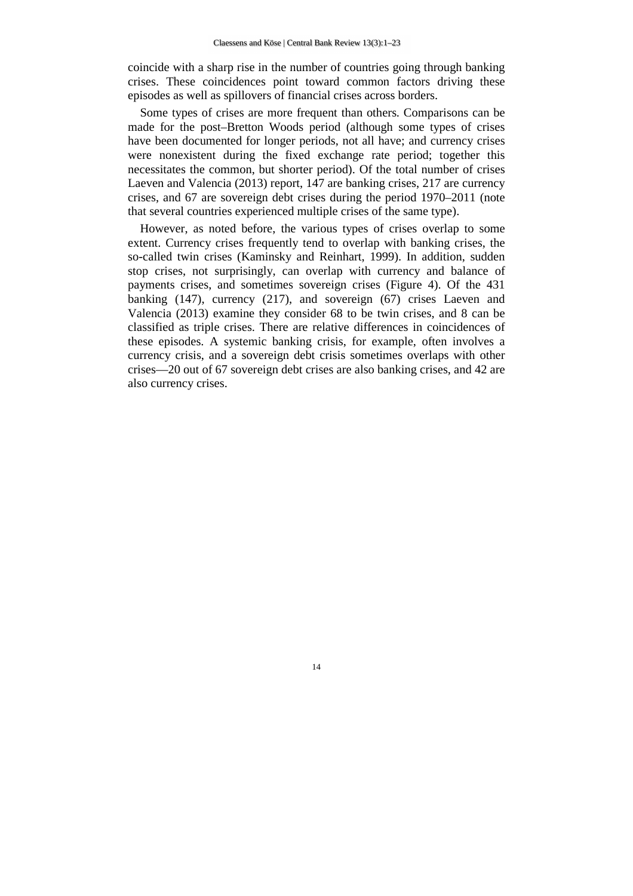coincide with a sharp rise in the number of countries going through banking crises. These coincidences point toward common factors driving these episodes as well as spillovers of financial crises across borders.

Some types of crises are more frequent than others. Comparisons can be made for the post–Bretton Woods period (although some types of crises have been documented for longer periods, not all have; and currency crises were nonexistent during the fixed exchange rate period; together this necessitates the common, but shorter period). Of the total number of crises Laeven and Valencia (2013) report, 147 are banking crises, 217 are currency crises, and 67 are sovereign debt crises during the period 1970–2011 (note that several countries experienced multiple crises of the same type).

However, as noted before, the various types of crises overlap to some extent. Currency crises frequently tend to overlap with banking crises, the so-called twin crises (Kaminsky and Reinhart, 1999). In addition, sudden stop crises, not surprisingly, can overlap with currency and balance of payments crises, and sometimes sovereign crises (Figure 4). Of the 431 banking (147), currency (217), and sovereign (67) crises Laeven and Valencia (2013) examine they consider 68 to be twin crises, and 8 can be classified as triple crises. There are relative differences in coincidences of these episodes. A systemic banking crisis, for example, often involves a currency crisis, and a sovereign debt crisis sometimes overlaps with other crises—20 out of 67 sovereign debt crises are also banking crises, and 42 are also currency crises.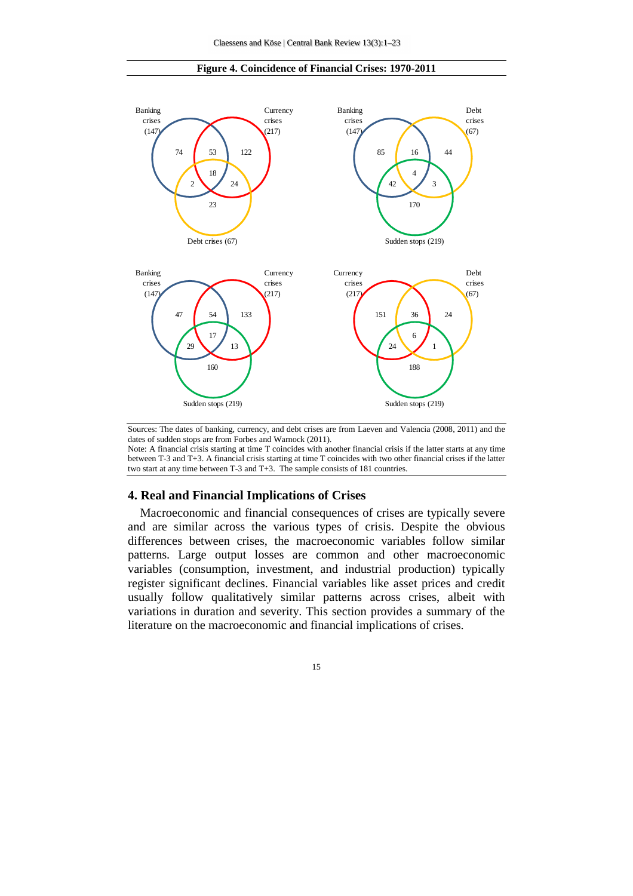

#### **Figure 4. Coincidence of Financial Crises: 1970-2011**

Sources: The dates of banking, currency, and debt crises are from Laeven and Valencia (2008, 2011) and the dates of sudden stops are from Forbes and Warnock (2011). Note: A financial crisis starting at time T coincides with another financial crisis if the latter starts at any time

between T-3 and T+3. A financial crisis starting at time T coincides with two other financial crises if the latter two start at any time between T-3 and T+3. The sample consists of 181 countries.

#### **4. Real and Financial Implications of Crises**

Macroeconomic and financial consequences of crises are typically severe and are similar across the various types of crisis. Despite the obvious differences between crises, the macroeconomic variables follow similar patterns. Large output losses are common and other macroeconomic variables (consumption, investment, and industrial production) typically register significant declines. Financial variables like asset prices and credit usually follow qualitatively similar patterns across crises, albeit with variations in duration and severity. This section provides a summary of the literature on the macroeconomic and financial implications of crises.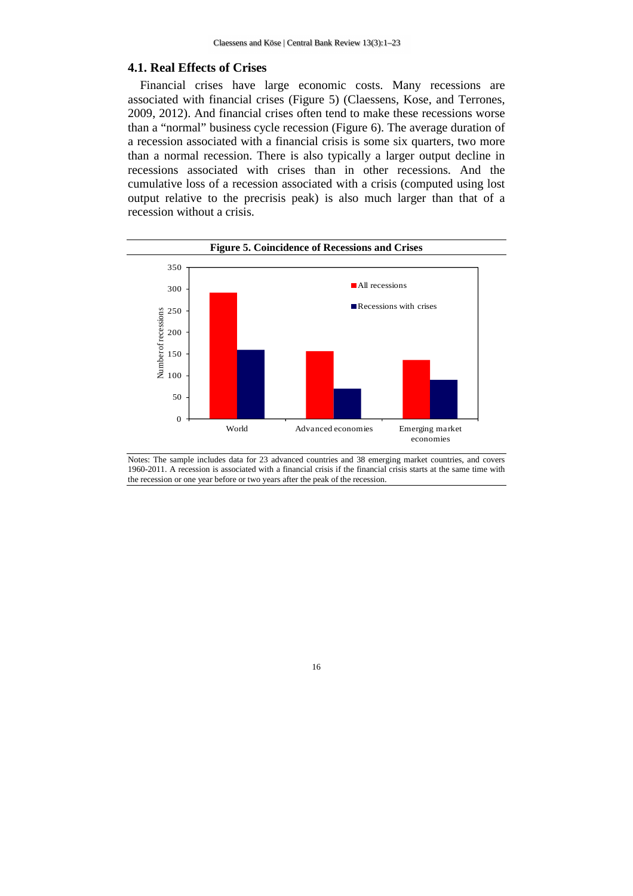## **4.1. Real Effects of Crises**

Financial crises have large economic costs. Many recessions are associated with financial crises (Figure 5) (Claessens, Kose, and Terrones, 2009, 2012). And financial crises often tend to make these recessions worse than a "normal" business cycle recession (Figure 6). The average duration of a recession associated with a financial crisis is some six quarters, two more than a normal recession. There is also typically a larger output decline in recessions associated with crises than in other recessions. And the cumulative loss of a recession associated with a crisis (computed using lost output relative to the precrisis peak) is also much larger than that of a recession without a crisis.



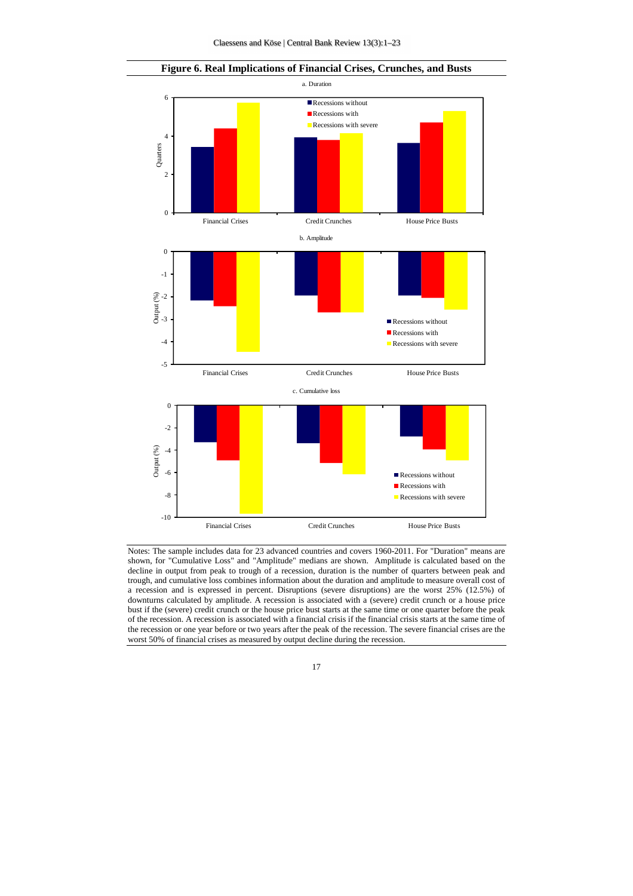



Notes: The sample includes data for 23 advanced countries and covers 1960-2011. For "Duration" means are shown, for "Cumulative Loss" and "Amplitude" medians are shown. Amplitude is calculated based on the decline in output from peak to trough of a recession, duration is the number of quarters between peak and trough, and cumulative loss combines information about the duration and amplitude to measure overall cost of a recession and is expressed in percent. Disruptions (severe disruptions) are the worst 25% (12.5%) of downturns calculated by amplitude. A recession is associated with a (severe) credit crunch or a house price bust if the (severe) credit crunch or the house price bust starts at the same time or one quarter before the peak of the recession. A recession is associated with a financial crisis if the financial crisis starts at the same time of the recession or one year before or two years after the peak of the recession. The severe financial crises are the worst 50% of financial crises as measured by output decline during the recession.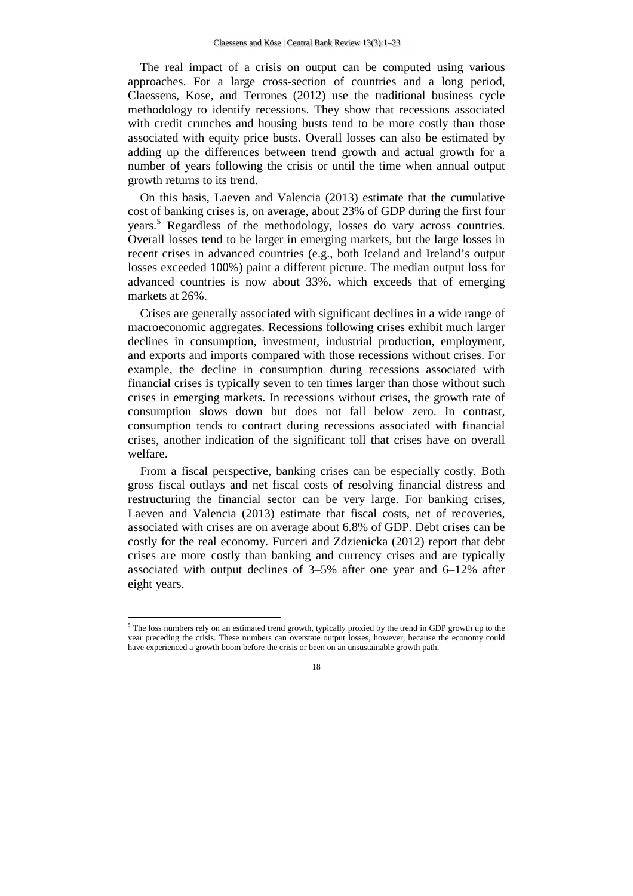The real impact of a crisis on output can be computed using various approaches. For a large cross-section of countries and a long period, Claessens, Kose, and Terrones (2012) use the traditional business cycle methodology to identify recessions. They show that recessions associated with credit crunches and housing busts tend to be more costly than those associated with equity price busts. Overall losses can also be estimated by adding up the differences between trend growth and actual growth for a number of years following the crisis or until the time when annual output growth returns to its trend.

On this basis, Laeven and Valencia (2013) estimate that the cumulative cost of banking crises is, on average, about 23% of GDP during the first four years.<sup>5</sup> Regardless of the methodology, losses do vary across countries. Overall losses tend to be larger in emerging markets, but the large losses in recent crises in advanced countries (e.g., both Iceland and Ireland's output losses exceeded 100%) paint a different picture. The median output loss for advanced countries is now about 33%, which exceeds that of emerging markets at 26%.

Crises are generally associated with significant declines in a wide range of macroeconomic aggregates. Recessions following crises exhibit much larger declines in consumption, investment, industrial production, employment, and exports and imports compared with those recessions without crises. For example, the decline in consumption during recessions associated with financial crises is typically seven to ten times larger than those without such crises in emerging markets. In recessions without crises, the growth rate of consumption slows down but does not fall below zero. In contrast, consumption tends to contract during recessions associated with financial crises, another indication of the significant toll that crises have on overall welfare.

From a fiscal perspective, banking crises can be especially costly. Both gross fiscal outlays and net fiscal costs of resolving financial distress and restructuring the financial sector can be very large. For banking crises, Laeven and Valencia (2013) estimate that fiscal costs, net of recoveries, associated with crises are on average about 6.8% of GDP. Debt crises can be costly for the real economy. Furceri and Zdzienicka (2012) report that debt crises are more costly than banking and currency crises and are typically associated with output declines of 3–5% after one year and 6–12% after eight years.

 $\overline{a}$ 

<sup>&</sup>lt;sup>5</sup> The loss numbers rely on an estimated trend growth, typically proxied by the trend in GDP growth up to the year preceding the crisis. These numbers can overstate output losses, however, because the economy could have experienced a growth boom before the crisis or been on an unsustainable growth path.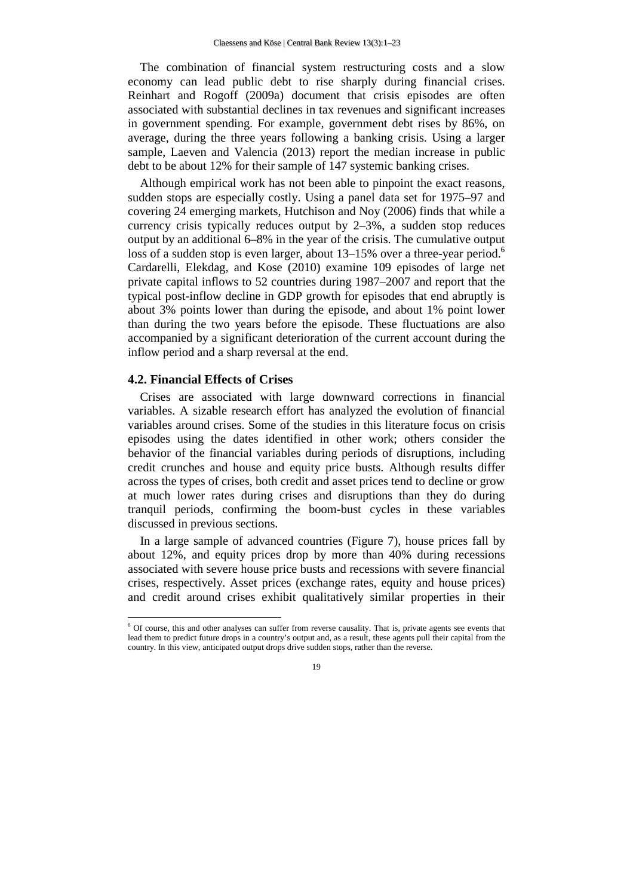The combination of financial system restructuring costs and a slow economy can lead public debt to rise sharply during financial crises. Reinhart and Rogoff (2009a) document that crisis episodes are often associated with substantial declines in tax revenues and significant increases in government spending. For example, government debt rises by 86%, on average, during the three years following a banking crisis. Using a larger sample, Laeven and Valencia (2013) report the median increase in public debt to be about 12% for their sample of 147 systemic banking crises.

Although empirical work has not been able to pinpoint the exact reasons, sudden stops are especially costly. Using a panel data set for 1975–97 and covering 24 emerging markets, Hutchison and Noy (2006) finds that while a currency crisis typically reduces output by 2–3%, a sudden stop reduces output by an additional 6–8% in the year of the crisis. The cumulative output loss of a sudden stop is even larger, about  $13-15%$  over a three-year period.<sup>6</sup> Cardarelli, Elekdag, and Kose (2010) examine 109 episodes of large net private capital inflows to 52 countries during 1987–2007 and report that the typical post-inflow decline in GDP growth for episodes that end abruptly is about 3% points lower than during the episode, and about 1% point lower than during the two years before the episode. These fluctuations are also accompanied by a significant deterioration of the current account during the inflow period and a sharp reversal at the end.

## **4.2. Financial Effects of Crises**

 $\overline{a}$ 

Crises are associated with large downward corrections in financial variables. A sizable research effort has analyzed the evolution of financial variables around crises. Some of the studies in this literature focus on crisis episodes using the dates identified in other work; others consider the behavior of the financial variables during periods of disruptions, including credit crunches and house and equity price busts. Although results differ across the types of crises, both credit and asset prices tend to decline or grow at much lower rates during crises and disruptions than they do during tranquil periods, confirming the boom-bust cycles in these variables discussed in previous sections.

In a large sample of advanced countries (Figure 7), house prices fall by about 12%, and equity prices drop by more than 40% during recessions associated with severe house price busts and recessions with severe financial crises, respectively. Asset prices (exchange rates, equity and house prices) and credit around crises exhibit qualitatively similar properties in their

<sup>6</sup> Of course, this and other analyses can suffer from reverse causality. That is, private agents see events that lead them to predict future drops in a country's output and, as a result, these agents pull their capital from the country. In this view, anticipated output drops drive sudden stops, rather than the reverse.

<sup>19</sup>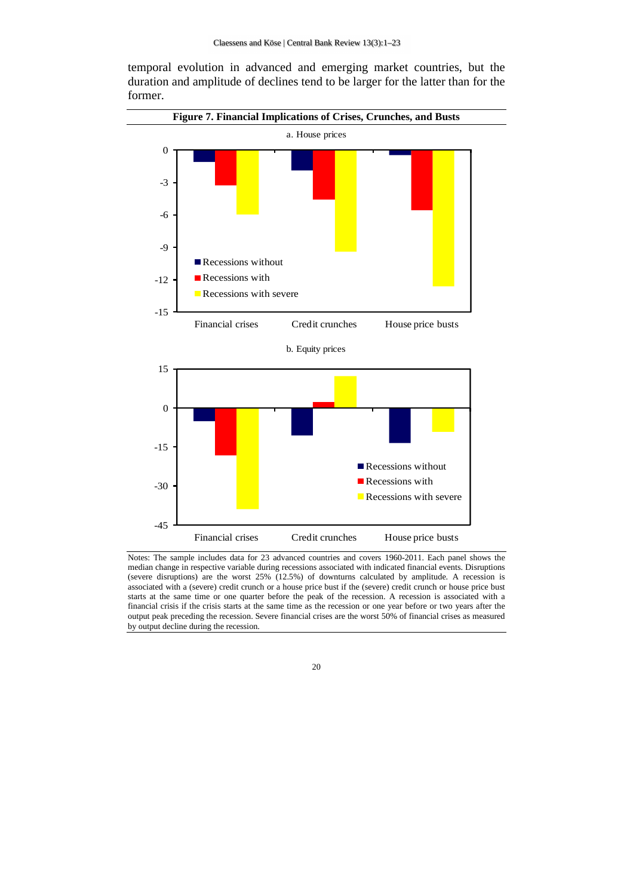**Figure 7. Financial Implications of Crises, Crunches, and Busts**  a. House prices b. Equity prices -15 -12 -9 -6 -3 0 Financial crises Credit crunches House price busts Recessions without Recessions with **Recessions with severe** -30 -15 0 15 Recessions without Recessions with **Recessions with severe** 





Notes: The sample includes data for 23 advanced countries and covers 1960-2011. Each panel shows the median change in respective variable during recessions associated with indicated financial events. Disruptions (severe disruptions) are the worst  $25\%$  (12.5%) of downturns calculated by amplitude. A recession is associated with a (severe) credit crunch or a house price bust if the (severe) credit crunch or house price bust starts at the same time or one quarter before the peak of the recession. A recession is associated with a financial crisis if the crisis starts at the same time as the recession or one year before or two years after the output peak preceding the recession. Severe financial crises are the worst 50% of financial crises as measured by output decline during the recession.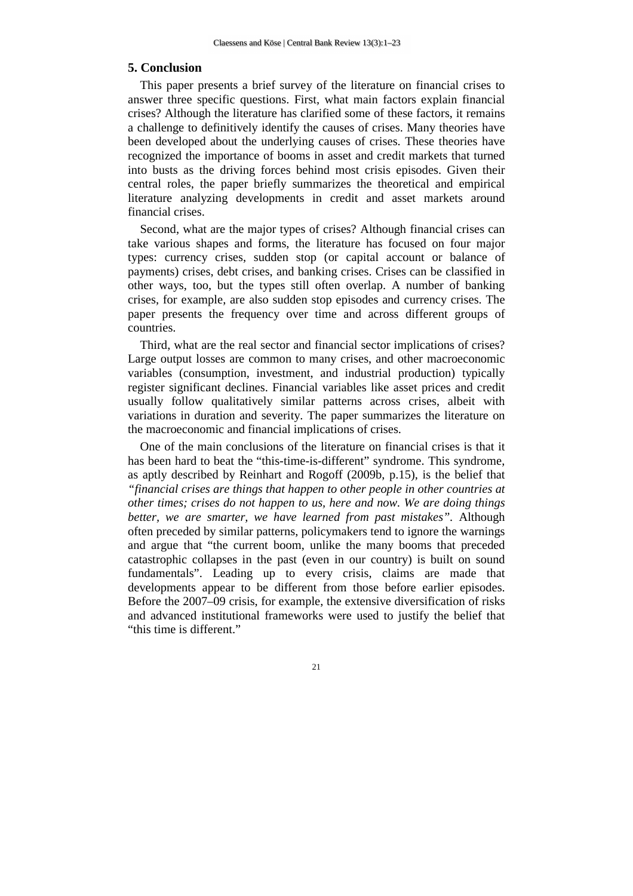#### **5. Conclusion**

This paper presents a brief survey of the literature on financial crises to answer three specific questions. First, what main factors explain financial crises? Although the literature has clarified some of these factors, it remains a challenge to definitively identify the causes of crises. Many theories have been developed about the underlying causes of crises. These theories have recognized the importance of booms in asset and credit markets that turned into busts as the driving forces behind most crisis episodes. Given their central roles, the paper briefly summarizes the theoretical and empirical literature analyzing developments in credit and asset markets around financial crises.

Second, what are the major types of crises? Although financial crises can take various shapes and forms, the literature has focused on four major types: currency crises, sudden stop (or capital account or balance of payments) crises, debt crises, and banking crises. Crises can be classified in other ways, too, but the types still often overlap. A number of banking crises, for example, are also sudden stop episodes and currency crises. The paper presents the frequency over time and across different groups of countries.

Third, what are the real sector and financial sector implications of crises? Large output losses are common to many crises, and other macroeconomic variables (consumption, investment, and industrial production) typically register significant declines. Financial variables like asset prices and credit usually follow qualitatively similar patterns across crises, albeit with variations in duration and severity. The paper summarizes the literature on the macroeconomic and financial implications of crises.

One of the main conclusions of the literature on financial crises is that it has been hard to beat the "this-time-is-different" syndrome. This syndrome, as aptly described by Reinhart and Rogoff (2009b, p.15), is the belief that *"financial crises are things that happen to other people in other countries at other times; crises do not happen to us, here and now. We are doing things better, we are smarter, we have learned from past mistakes".* Although often preceded by similar patterns, policymakers tend to ignore the warnings and argue that "the current boom, unlike the many booms that preceded catastrophic collapses in the past (even in our country) is built on sound fundamentals". Leading up to every crisis, claims are made that developments appear to be different from those before earlier episodes. Before the 2007–09 crisis, for example, the extensive diversification of risks and advanced institutional frameworks were used to justify the belief that "this time is different."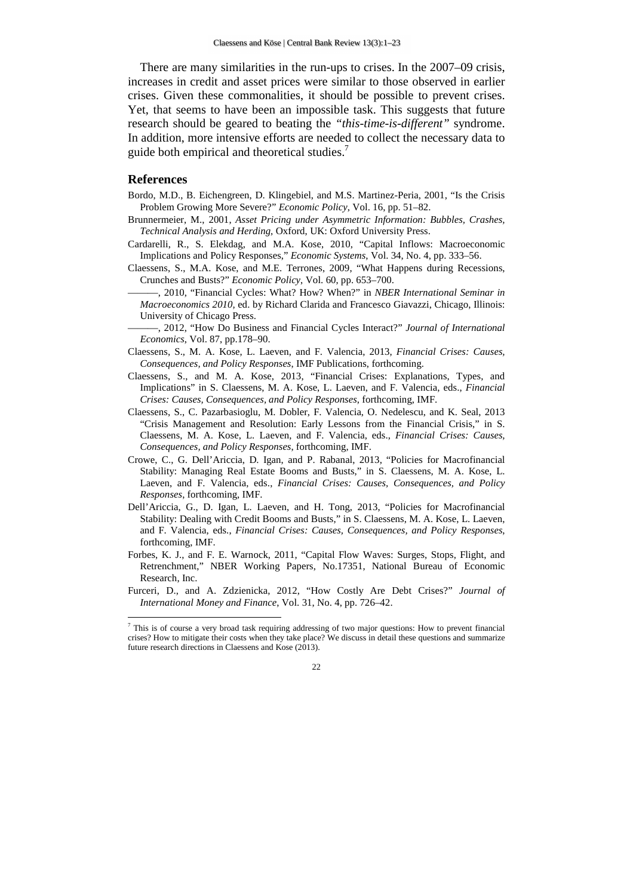There are many similarities in the run-ups to crises. In the 2007–09 crisis, increases in credit and asset prices were similar to those observed in earlier crises. Given these commonalities, it should be possible to prevent crises. Yet, that seems to have been an impossible task. This suggests that future research should be geared to beating the *"this-time-is-different"* syndrome. In addition, more intensive efforts are needed to collect the necessary data to guide both empirical and theoretical studies.<sup>7</sup>

#### **References**

 $\overline{a}$ 

- Bordo, M.D., B. Eichengreen, D. Klingebiel, and M.S. Martinez-Peria, 2001, "Is the Crisis Problem Growing More Severe?" *Economic Policy*, Vol. 16, pp. 51–82.
- Brunnermeier, M., 2001, *Asset Pricing under Asymmetric Information: Bubbles, Crashes, Technical Analysis and Herding,* Oxford, UK: Oxford University Press.
- Cardarelli, R., S. Elekdag, and M.A. Kose, 2010, "Capital Inflows: Macroeconomic Implications and Policy Responses," *Economic Systems*, Vol. 34, No. 4, pp. 333–56.
- Claessens, S., M.A. Kose, and M.E. Terrones, 2009, "What Happens during Recessions, Crunches and Busts?" *Economic Policy*, Vol. 60, pp. 653–700.
	- ———, 2010, "Financial Cycles: What? How? When?" in *NBER International Seminar in Macroeconomics 2010,* ed. by Richard Clarida and Francesco Giavazzi, Chicago, Illinois: University of Chicago Press.
- ———, 2012, "How Do Business and Financial Cycles Interact?" *Journal of International Economics*, Vol. 87, pp.178–90.
- Claessens, S., M. A. Kose, L. Laeven, and F. Valencia, 2013, *Financial Crises: Causes, Consequences, and Policy Responses*, IMF Publications, forthcoming.
- Claessens, S., and M. A. Kose, 2013, "Financial Crises: Explanations, Types, and Implications" in S. Claessens, M. A. Kose, L. Laeven, and F. Valencia, eds., *Financial Crises: Causes, Consequences, and Policy Responses*, forthcoming, IMF.
- Claessens, S., C. Pazarbasioglu, M. Dobler, F. Valencia, O. Nedelescu, and K. Seal, 2013 "Crisis Management and Resolution: Early Lessons from the Financial Crisis," in S. Claessens, M. A. Kose, L. Laeven, and F. Valencia, eds., *Financial Crises: Causes, Consequences, and Policy Responses*, forthcoming, IMF.
- Crowe, C., G. Dell'Ariccia, D. Igan, and P. Rabanal, 2013, "Policies for Macrofinancial Stability: Managing Real Estate Booms and Busts," in S. Claessens, M. A. Kose, L. Laeven, and F. Valencia, eds., *Financial Crises: Causes, Consequences, and Policy Responses*, forthcoming, IMF.
- Dell'Ariccia, G., D. Igan, L. Laeven, and H. Tong, 2013, "Policies for Macrofinancial Stability: Dealing with Credit Booms and Busts," in S. Claessens, M. A. Kose, L. Laeven, and F. Valencia, eds., *Financial Crises: Causes, Consequences, and Policy Responses*, forthcoming, IMF.
- Forbes, K. J., and F. E. Warnock, 2011, "Capital Flow Waves: Surges, Stops, Flight, and Retrenchment," NBER Working Papers, No.17351, National Bureau of Economic Research, Inc.
- Furceri, D., and A. Zdzienicka, 2012, "How Costly Are Debt Crises?" *Journal of International Money and Finance*, Vol. 31, No. 4, pp. 726–42.

<sup>7</sup> This is of course a very broad task requiring addressing of two major questions: How to prevent financial crises? How to mitigate their costs when they take place? We discuss in detail these questions and summarize future research directions in Claessens and Kose (2013).

<sup>22</sup>